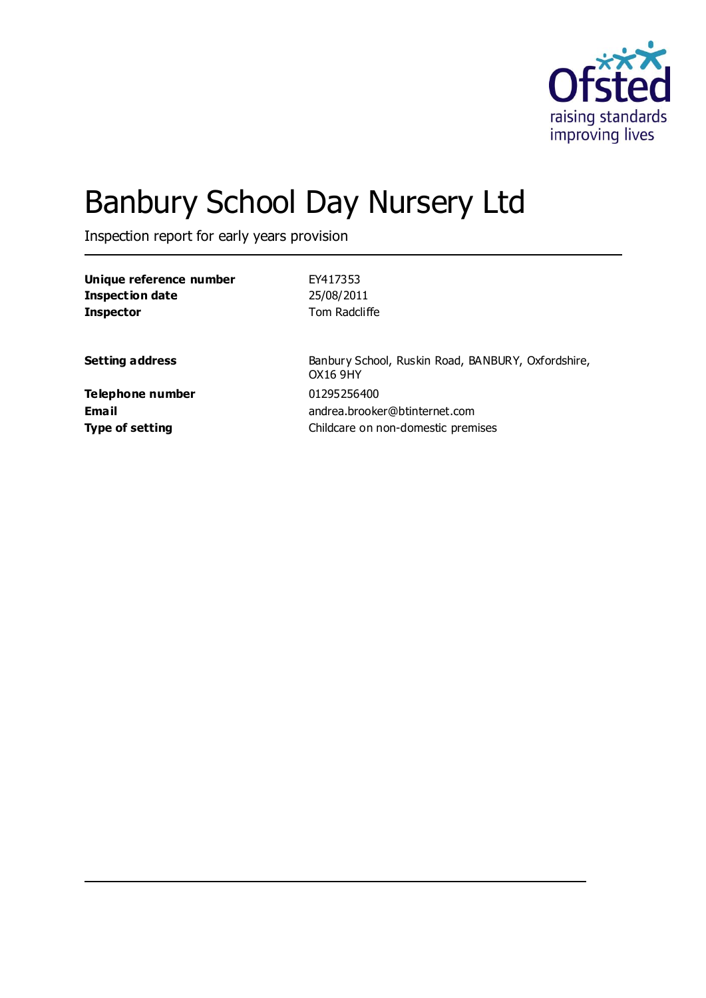

# Banbury School Day Nursery Ltd

Inspection report for early years provision

| Unique reference number | EY417353                                                              |
|-------------------------|-----------------------------------------------------------------------|
| <b>Inspection date</b>  | 25/08/2011                                                            |
| <b>Inspector</b>        | Tom Radcliffe                                                         |
| <b>Setting address</b>  | Banbury School, Ruskin Road, BANBURY, Oxfordshire,<br><b>OX16 9HY</b> |
| Telephone number        | 01295256400                                                           |
| Email                   | andrea.brooker@btinternet.com                                         |
| <b>Type of setting</b>  | Childcare on non-domestic premises                                    |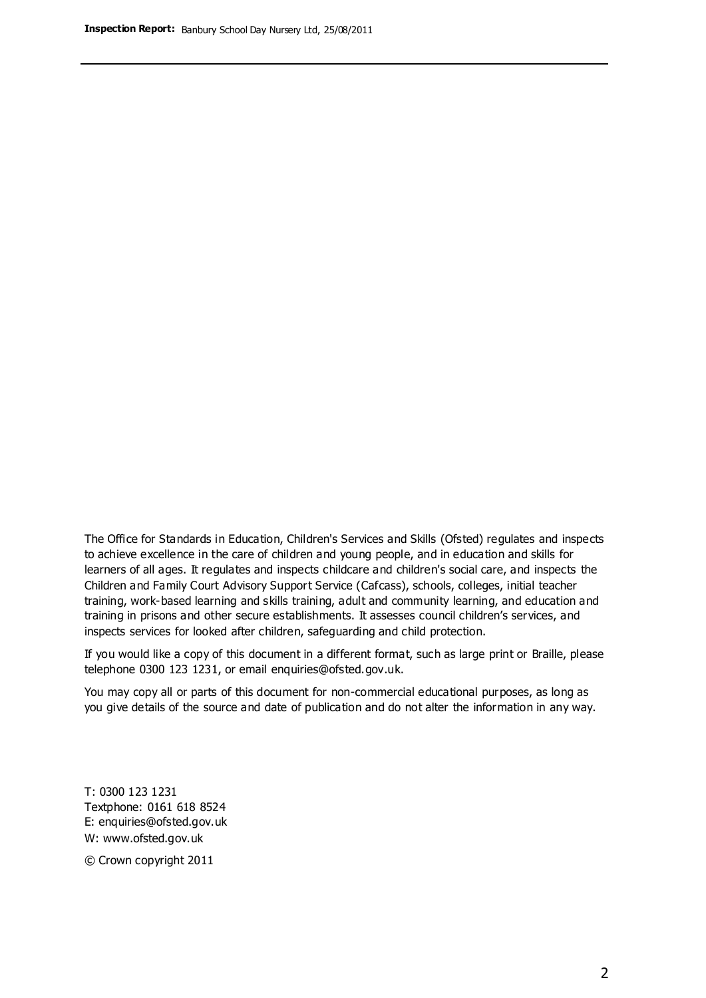The Office for Standards in Education, Children's Services and Skills (Ofsted) regulates and inspects to achieve excellence in the care of children and young people, and in education and skills for learners of all ages. It regulates and inspects childcare and children's social care, and inspects the Children and Family Court Advisory Support Service (Cafcass), schools, colleges, initial teacher training, work-based learning and skills training, adult and community learning, and education and training in prisons and other secure establishments. It assesses council children's services, and inspects services for looked after children, safeguarding and child protection.

If you would like a copy of this document in a different format, such as large print or Braille, please telephone 0300 123 1231, or email enquiries@ofsted.gov.uk.

You may copy all or parts of this document for non-commercial educational purposes, as long as you give details of the source and date of publication and do not alter the information in any way.

T: 0300 123 1231 Textphone: 0161 618 8524 E: enquiries@ofsted.gov.uk W: [www.ofsted.gov.uk](http://www.ofsted.gov.uk/)

© Crown copyright 2011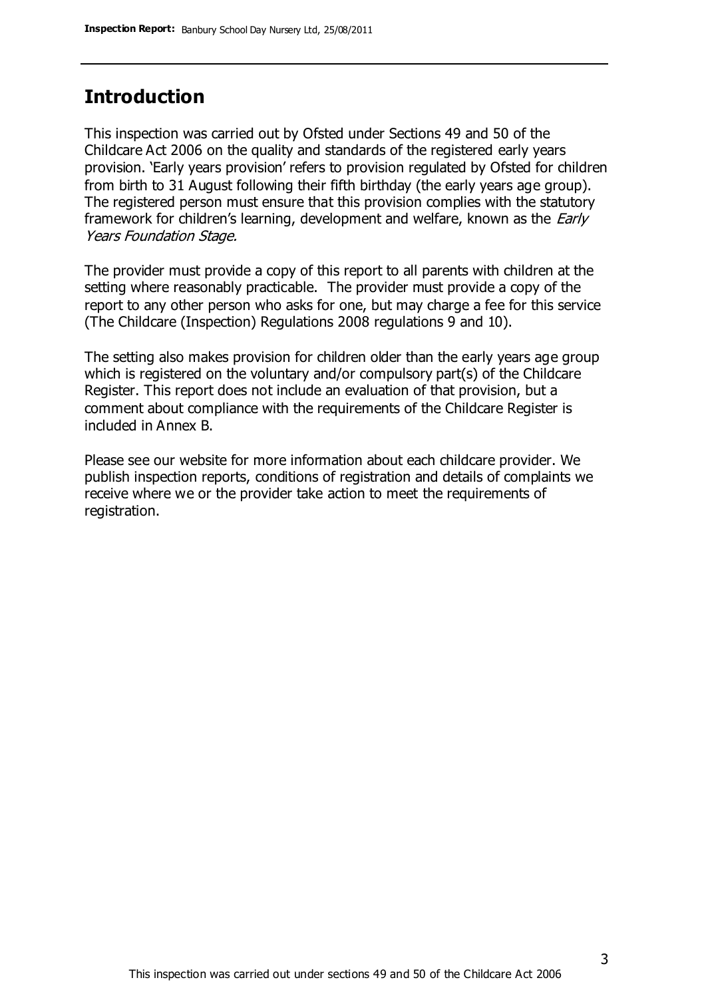### **Introduction**

This inspection was carried out by Ofsted under Sections 49 and 50 of the Childcare Act 2006 on the quality and standards of the registered early years provision. 'Early years provision' refers to provision regulated by Ofsted for children from birth to 31 August following their fifth birthday (the early years age group). The registered person must ensure that this provision complies with the statutory framework for children's learning, development and welfare, known as the *Early* Years Foundation Stage.

The provider must provide a copy of this report to all parents with children at the setting where reasonably practicable. The provider must provide a copy of the report to any other person who asks for one, but may charge a fee for this service (The Childcare (Inspection) Regulations 2008 regulations 9 and 10).

The setting also makes provision for children older than the early years age group which is registered on the voluntary and/or compulsory part(s) of the Childcare Register. This report does not include an evaluation of that provision, but a comment about compliance with the requirements of the Childcare Register is included in Annex B.

Please see our website for more information about each childcare provider. We publish inspection reports, conditions of registration and details of complaints we receive where we or the provider take action to meet the requirements of registration.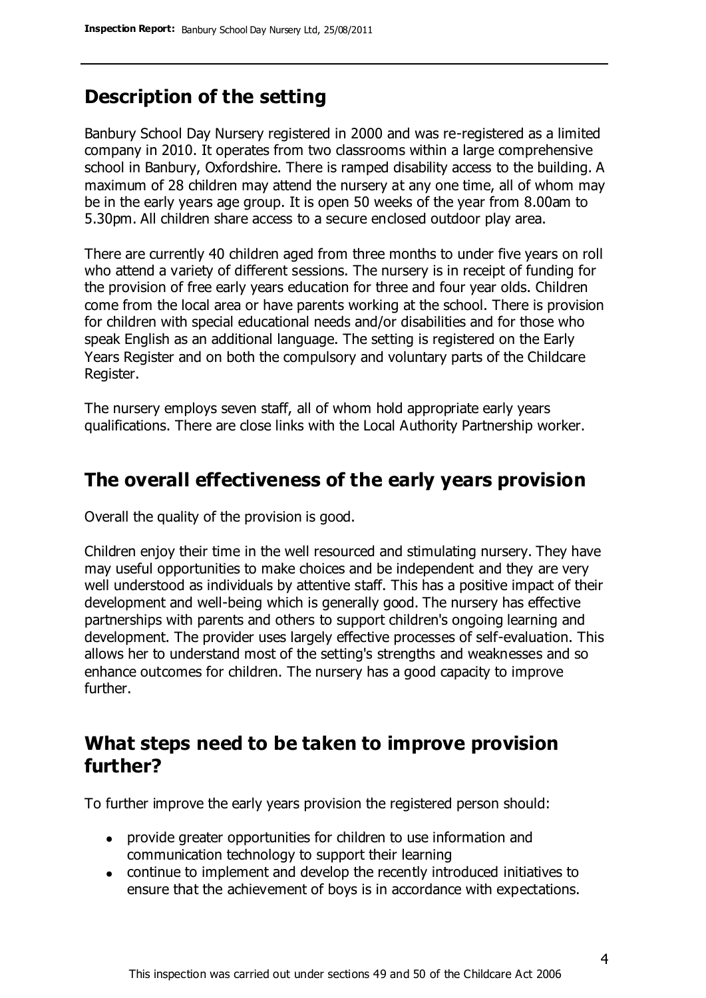### **Description of the setting**

Banbury School Day Nursery registered in 2000 and was re-registered as a limited company in 2010. It operates from two classrooms within a large comprehensive school in Banbury, Oxfordshire. There is ramped disability access to the building. A maximum of 28 children may attend the nursery at any one time, all of whom may be in the early years age group. It is open 50 weeks of the year from 8.00am to 5.30pm. All children share access to a secure enclosed outdoor play area.

There are currently 40 children aged from three months to under five years on roll who attend a variety of different sessions. The nursery is in receipt of funding for the provision of free early years education for three and four year olds. Children come from the local area or have parents working at the school. There is provision for children with special educational needs and/or disabilities and for those who speak English as an additional language. The setting is registered on the Early Years Register and on both the compulsory and voluntary parts of the Childcare Register.

The nursery employs seven staff, all of whom hold appropriate early years qualifications. There are close links with the Local Authority Partnership worker.

### **The overall effectiveness of the early years provision**

Overall the quality of the provision is good.

Children enjoy their time in the well resourced and stimulating nursery. They have may useful opportunities to make choices and be independent and they are very well understood as individuals by attentive staff. This has a positive impact of their development and well-being which is generally good. The nursery has effective partnerships with parents and others to support children's ongoing learning and development. The provider uses largely effective processes of self-evaluation. This allows her to understand most of the setting's strengths and weaknesses and so enhance outcomes for children. The nursery has a good capacity to improve further.

### **What steps need to be taken to improve provision further?**

To further improve the early years provision the registered person should:

- provide greater opportunities for children to use information and communication technology to support their learning
- continue to implement and develop the recently introduced initiatives to ensure that the achievement of boys is in accordance with expectations.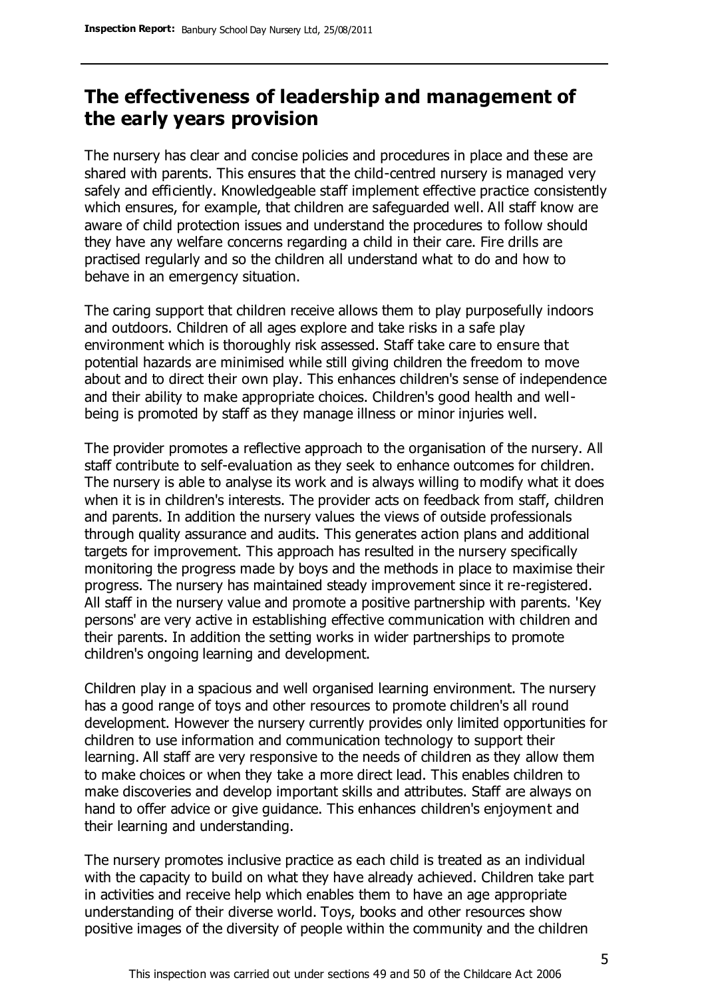### **The effectiveness of leadership and management of the early years provision**

The nursery has clear and concise policies and procedures in place and these are shared with parents. This ensures that the child-centred nursery is managed very safely and efficiently. Knowledgeable staff implement effective practice consistently which ensures, for example, that children are safeguarded well. All staff know are aware of child protection issues and understand the procedures to follow should they have any welfare concerns regarding a child in their care. Fire drills are practised regularly and so the children all understand what to do and how to behave in an emergency situation.

The caring support that children receive allows them to play purposefully indoors and outdoors. Children of all ages explore and take risks in a safe play environment which is thoroughly risk assessed. Staff take care to ensure that potential hazards are minimised while still giving children the freedom to move about and to direct their own play. This enhances children's sense of independence and their ability to make appropriate choices. Children's good health and wellbeing is promoted by staff as they manage illness or minor injuries well.

The provider promotes a reflective approach to the organisation of the nursery. All staff contribute to self-evaluation as they seek to enhance outcomes for children. The nursery is able to analyse its work and is always willing to modify what it does when it is in children's interests. The provider acts on feedback from staff, children and parents. In addition the nursery values the views of outside professionals through quality assurance and audits. This generates action plans and additional targets for improvement. This approach has resulted in the nursery specifically monitoring the progress made by boys and the methods in place to maximise their progress. The nursery has maintained steady improvement since it re-registered. All staff in the nursery value and promote a positive partnership with parents. 'Key persons' are very active in establishing effective communication with children and their parents. In addition the setting works in wider partnerships to promote children's ongoing learning and development.

Children play in a spacious and well organised learning environment. The nursery has a good range of toys and other resources to promote children's all round development. However the nursery currently provides only limited opportunities for children to use information and communication technology to support their learning. All staff are very responsive to the needs of children as they allow them to make choices or when they take a more direct lead. This enables children to make discoveries and develop important skills and attributes. Staff are always on hand to offer advice or give guidance. This enhances children's enjoyment and their learning and understanding.

The nursery promotes inclusive practice as each child is treated as an individual with the capacity to build on what they have already achieved. Children take part in activities and receive help which enables them to have an age appropriate understanding of their diverse world. Toys, books and other resources show positive images of the diversity of people within the community and the children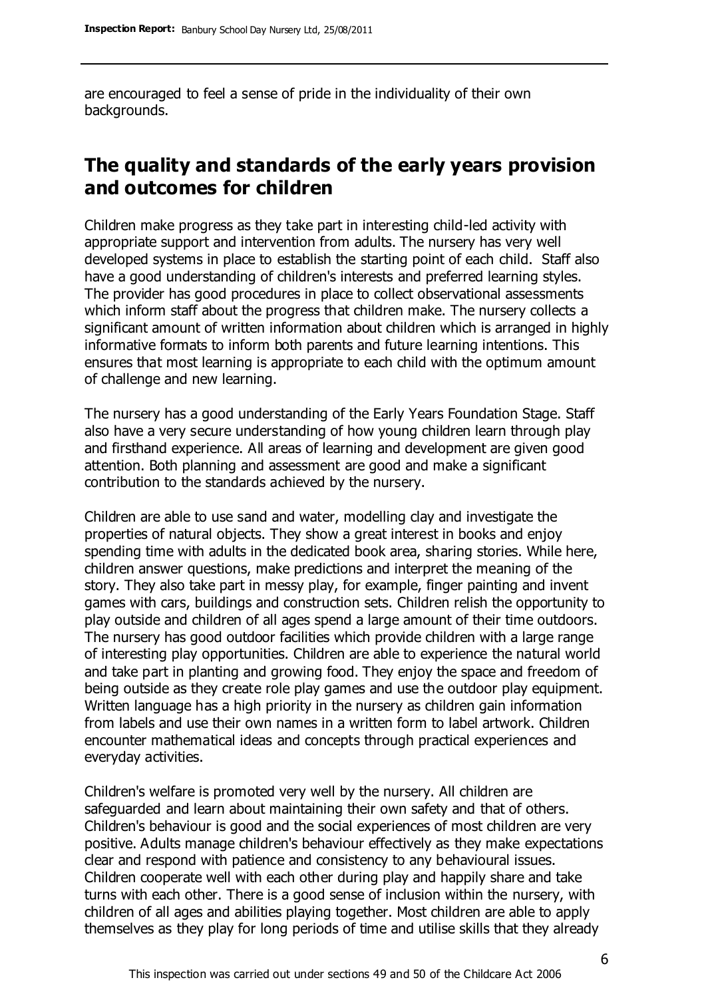are encouraged to feel a sense of pride in the individuality of their own backgrounds.

### **The quality and standards of the early years provision and outcomes for children**

Children make progress as they take part in interesting child-led activity with appropriate support and intervention from adults. The nursery has very well developed systems in place to establish the starting point of each child. Staff also have a good understanding of children's interests and preferred learning styles. The provider has good procedures in place to collect observational assessments which inform staff about the progress that children make. The nursery collects a significant amount of written information about children which is arranged in highly informative formats to inform both parents and future learning intentions. This ensures that most learning is appropriate to each child with the optimum amount of challenge and new learning.

The nursery has a good understanding of the Early Years Foundation Stage. Staff also have a very secure understanding of how young children learn through play and firsthand experience. All areas of learning and development are given good attention. Both planning and assessment are good and make a significant contribution to the standards achieved by the nursery.

Children are able to use sand and water, modelling clay and investigate the properties of natural objects. They show a great interest in books and enjoy spending time with adults in the dedicated book area, sharing stories. While here, children answer questions, make predictions and interpret the meaning of the story. They also take part in messy play, for example, finger painting and invent games with cars, buildings and construction sets. Children relish the opportunity to play outside and children of all ages spend a large amount of their time outdoors. The nursery has good outdoor facilities which provide children with a large range of interesting play opportunities. Children are able to experience the natural world and take part in planting and growing food. They enjoy the space and freedom of being outside as they create role play games and use the outdoor play equipment. Written language has a high priority in the nursery as children gain information from labels and use their own names in a written form to label artwork. Children encounter mathematical ideas and concepts through practical experiences and everyday activities.

Children's welfare is promoted very well by the nursery. All children are safeguarded and learn about maintaining their own safety and that of others. Children's behaviour is good and the social experiences of most children are very positive. Adults manage children's behaviour effectively as they make expectations clear and respond with patience and consistency to any behavioural issues. Children cooperate well with each other during play and happily share and take turns with each other. There is a good sense of inclusion within the nursery, with children of all ages and abilities playing together. Most children are able to apply themselves as they play for long periods of time and utilise skills that they already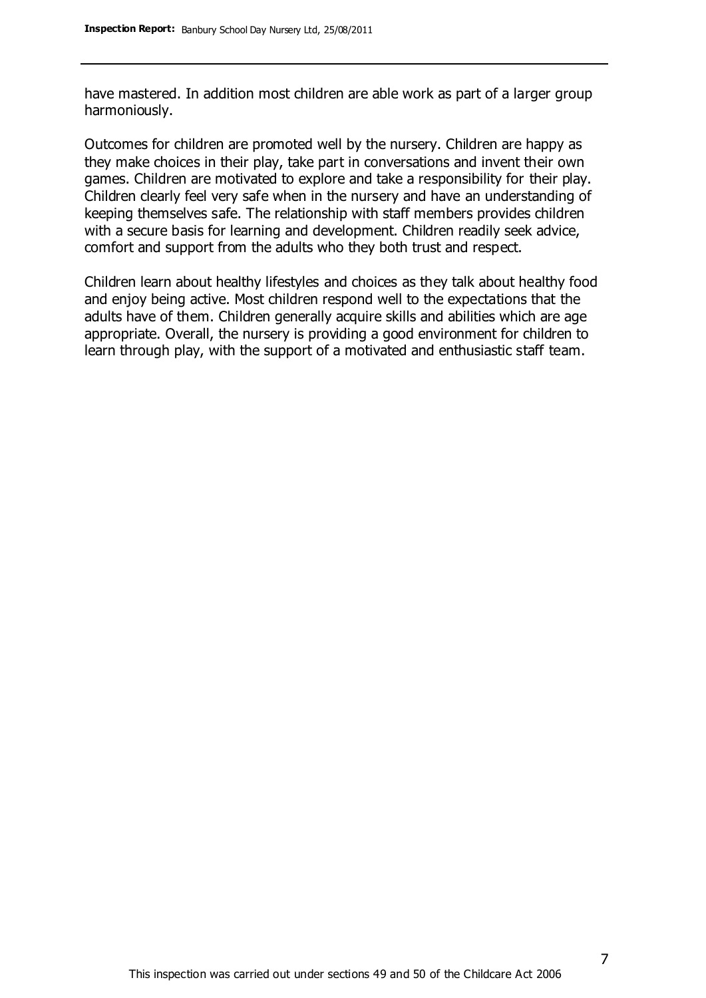have mastered. In addition most children are able work as part of a larger group harmoniously.

Outcomes for children are promoted well by the nursery. Children are happy as they make choices in their play, take part in conversations and invent their own games. Children are motivated to explore and take a responsibility for their play. Children clearly feel very safe when in the nursery and have an understanding of keeping themselves safe. The relationship with staff members provides children with a secure basis for learning and development. Children readily seek advice, comfort and support from the adults who they both trust and respect.

Children learn about healthy lifestyles and choices as they talk about healthy food and enjoy being active. Most children respond well to the expectations that the adults have of them. Children generally acquire skills and abilities which are age appropriate. Overall, the nursery is providing a good environment for children to learn through play, with the support of a motivated and enthusiastic staff team.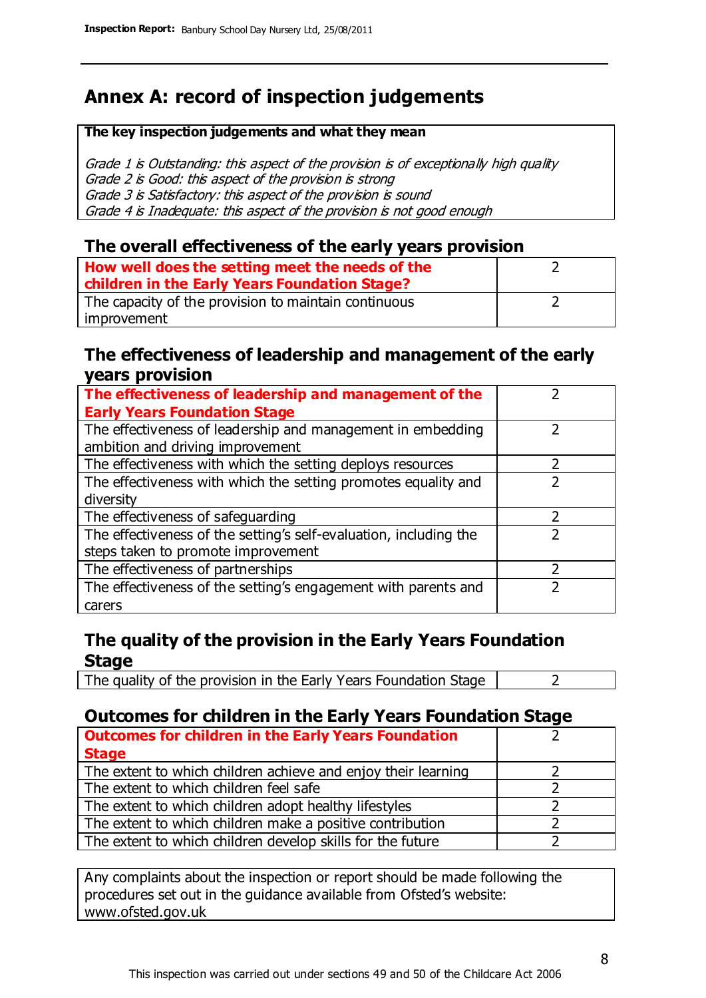### **Annex A: record of inspection judgements**

#### **The key inspection judgements and what they mean**

Grade 1 is Outstanding: this aspect of the provision is of exceptionally high quality Grade 2 is Good: this aspect of the provision is strong Grade 3 is Satisfactory: this aspect of the provision is sound Grade 4 is Inadequate: this aspect of the provision is not good enough

### **The overall effectiveness of the early years provision**

| How well does the setting meet the needs of the<br>children in the Early Years Foundation Stage? |  |
|--------------------------------------------------------------------------------------------------|--|
| The capacity of the provision to maintain continuous                                             |  |
| improvement                                                                                      |  |

#### **The effectiveness of leadership and management of the early years provision**

| The effectiveness of leadership and management of the             |  |
|-------------------------------------------------------------------|--|
| <b>Early Years Foundation Stage</b>                               |  |
| The effectiveness of leadership and management in embedding       |  |
| ambition and driving improvement                                  |  |
| The effectiveness with which the setting deploys resources        |  |
| The effectiveness with which the setting promotes equality and    |  |
| diversity                                                         |  |
| The effectiveness of safeguarding                                 |  |
| The effectiveness of the setting's self-evaluation, including the |  |
| steps taken to promote improvement                                |  |
| The effectiveness of partnerships                                 |  |
| The effectiveness of the setting's engagement with parents and    |  |
| carers                                                            |  |

### **The quality of the provision in the Early Years Foundation Stage**

The quality of the provision in the Early Years Foundation Stage  $\vert$  2

### **Outcomes for children in the Early Years Foundation Stage**

| <b>Outcomes for children in the Early Years Foundation</b>    |  |
|---------------------------------------------------------------|--|
| <b>Stage</b>                                                  |  |
| The extent to which children achieve and enjoy their learning |  |
| The extent to which children feel safe                        |  |
| The extent to which children adopt healthy lifestyles         |  |
| The extent to which children make a positive contribution     |  |
| The extent to which children develop skills for the future    |  |

Any complaints about the inspection or report should be made following the procedures set out in the guidance available from Ofsted's website: www.ofsted.gov.uk